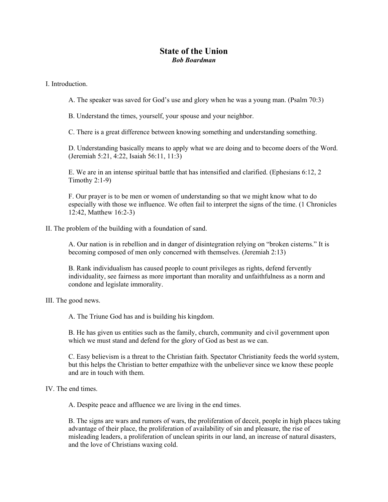## **State of the Union**  *Bob Boardman*

I. Introduction.

A. The speaker was saved for God's use and glory when he was a young man. (Psalm 70:3)

B. Understand the times, yourself, your spouse and your neighbor.

C. There is a great difference between knowing something and understanding something.

D. Understanding basically means to apply what we are doing and to become doers of the Word. (Jeremiah 5:21, 4:22, Isaiah 56:11, 11:3)

E. We are in an intense spiritual battle that has intensified and clarified. (Ephesians 6:12, 2 Timothy 2:1-9)

F. Our prayer is to be men or women of understanding so that we might know what to do especially with those we influence. We often fail to interpret the signs of the time. (1 Chronicles 12:42, Matthew 16:2-3)

## II. The problem of the building with a foundation of sand.

A. Our nation is in rebellion and in danger of disintegration relying on "broken cisterns." It is becoming composed of men only concerned with themselves. (Jeremiah 2:13)

B. Rank individualism has caused people to count privileges as rights, defend fervently individuality, see fairness as more important than morality and unfaithfulness as a norm and condone and legislate immorality.

III. The good news.

A. The Triune God has and is building his kingdom.

B. He has given us entities such as the family, church, community and civil government upon which we must stand and defend for the glory of God as best as we can.

C. Easy believism is a threat to the Christian faith. Spectator Christianity feeds the world system, but this helps the Christian to better empathize with the unbeliever since we know these people and are in touch with them.

## IV. The end times.

A. Despite peace and affluence we are living in the end times.

B. The signs are wars and rumors of wars, the proliferation of deceit, people in high places taking advantage of their place, the proliferation of availability of sin and pleasure, the rise of misleading leaders, a proliferation of unclean spirits in our land, an increase of natural disasters, and the love of Christians waxing cold.